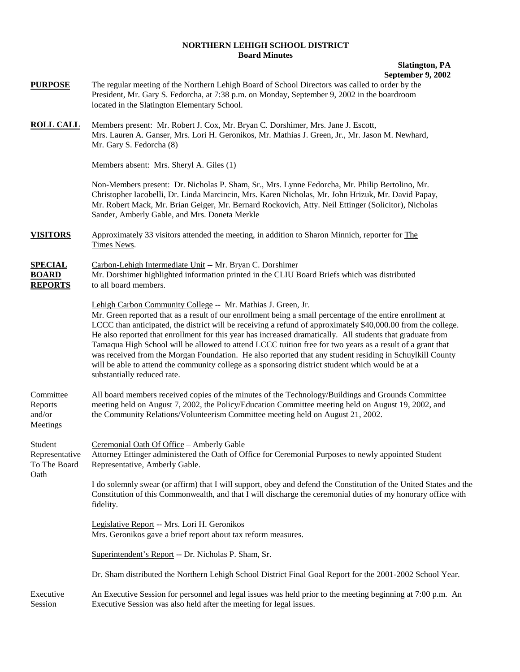#### **NORTHERN LEHIGH SCHOOL DISTRICT Board Minutes**

#### **Slatington, PA September 9, 2002**

**PURPOSE** The regular meeting of the Northern Lehigh Board of School Directors was called to order by the President, Mr. Gary S. Fedorcha, at 7:38 p.m. on Monday, September 9, 2002 in the boardroom located in the Slatington Elementary School. **ROLL CALL** Members present: Mr. Robert J. Cox, Mr. Bryan C. Dorshimer, Mrs. Jane J. Escott, Mrs. Lauren A. Ganser, Mrs. Lori H. Geronikos, Mr. Mathias J. Green, Jr., Mr. Jason M. Newhard, Mr. Gary S. Fedorcha (8) Members absent: Mrs. Sheryl A. Giles (1) Non-Members present: Dr. Nicholas P. Sham, Sr., Mrs. Lynne Fedorcha, Mr. Philip Bertolino, Mr. Christopher Iacobelli, Dr. Linda Marcincin, Mrs. Karen Nicholas, Mr. John Hrizuk, Mr. David Papay, Mr. Robert Mack, Mr. Brian Geiger, Mr. Bernard Rockovich, Atty. Neil Ettinger (Solicitor), Nicholas Sander, Amberly Gable, and Mrs. Doneta Merkle **VISITORS** Approximately 33 visitors attended the meeting, in addition to Sharon Minnich, reporter for The Times News. **SPECIAL** Carbon-Lehigh Intermediate Unit -- Mr. Bryan C. Dorshimer **BOARD** Mr. Dorshimer highlighted information printed in the CLIU Board Briefs which was distributed **REPORTS** to all board members. Lehigh Carbon Community College -- Mr. Mathias J. Green, Jr. Mr. Green reported that as a result of our enrollment being a small percentage of the entire enrollment at LCCC than anticipated, the district will be receiving a refund of approximately \$40,000.00 from the college. He also reported that enrollment for this year has increased dramatically. All students that graduate from Tamaqua High School will be allowed to attend LCCC tuition free for two years as a result of a grant that was received from the Morgan Foundation. He also reported that any student residing in Schuylkill County will be able to attend the community college as a sponsoring district student which would be at a substantially reduced rate. Committee All board members received copies of the minutes of the Technology/Buildings and Grounds Committee Reports meeting held on August 7, 2002, the Policy/Education Committee meeting held on August 19, 2002, and and/or the Community Relations/Volunteerism Committee meeting held on August 21, 2002. Meetings Student Ceremonial Oath Of Office – Amberly Gable Representative Attorney Ettinger administered the Oath of Office for Ceremonial Purposes to newly appointed Student To The Board Representative, Amberly Gable. Oath I do solemnly swear (or affirm) that I will support, obey and defend the Constitution of the United States and the Constitution of this Commonwealth, and that I will discharge the ceremonial duties of my honorary office with fidelity. Legislative Report -- Mrs. Lori H. Geronikos Mrs. Geronikos gave a brief report about tax reform measures. Superintendent's Report -- Dr. Nicholas P. Sham, Sr. Dr. Sham distributed the Northern Lehigh School District Final Goal Report for the 2001-2002 School Year. Executive An Executive Session for personnel and legal issues was held prior to the meeting beginning at 7:00 p.m. An Session Executive Session was also held after the meeting for legal issues.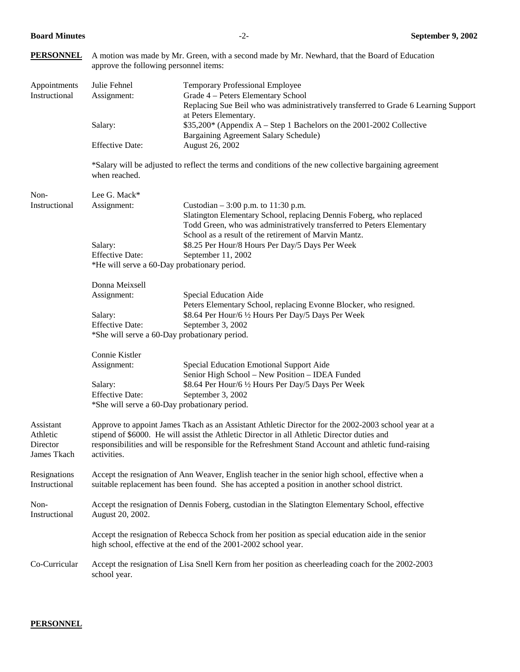| <b>PERSONNEL</b>                                 | A motion was made by Mr. Green, with a second made by Mr. Newhard, that the Board of Education<br>approve the following personnel items:                                                                                                                                                                                  |                                                                                                                                                                                                                                               |  |  |  |
|--------------------------------------------------|---------------------------------------------------------------------------------------------------------------------------------------------------------------------------------------------------------------------------------------------------------------------------------------------------------------------------|-----------------------------------------------------------------------------------------------------------------------------------------------------------------------------------------------------------------------------------------------|--|--|--|
| Appointments<br>Instructional                    | Julie Fehnel<br>Assignment:                                                                                                                                                                                                                                                                                               | Temporary Professional Employee<br>Grade 4 - Peters Elementary School<br>Replacing Sue Beil who was administratively transferred to Grade 6 Learning Support                                                                                  |  |  |  |
|                                                  | Salary:                                                                                                                                                                                                                                                                                                                   | at Peters Elementary.<br>\$35,200* (Appendix A – Step 1 Bachelors on the 2001-2002 Collective<br>Bargaining Agreement Salary Schedule)                                                                                                        |  |  |  |
|                                                  | <b>Effective Date:</b>                                                                                                                                                                                                                                                                                                    | August 26, 2002                                                                                                                                                                                                                               |  |  |  |
|                                                  | when reached.                                                                                                                                                                                                                                                                                                             | *Salary will be adjusted to reflect the terms and conditions of the new collective bargaining agreement                                                                                                                                       |  |  |  |
| Non-                                             | Lee G. Mack*                                                                                                                                                                                                                                                                                                              |                                                                                                                                                                                                                                               |  |  |  |
| Instructional                                    | Assignment:                                                                                                                                                                                                                                                                                                               | Custodian $-3:00$ p.m. to 11:30 p.m.<br>Slatington Elementary School, replacing Dennis Foberg, who replaced<br>Todd Green, who was administratively transferred to Peters Elementary<br>School as a result of the retirement of Marvin Mantz. |  |  |  |
|                                                  | Salary:                                                                                                                                                                                                                                                                                                                   | \$8.25 Per Hour/8 Hours Per Day/5 Days Per Week                                                                                                                                                                                               |  |  |  |
|                                                  | <b>Effective Date:</b><br>September 11, 2002<br>*He will serve a 60-Day probationary period.                                                                                                                                                                                                                              |                                                                                                                                                                                                                                               |  |  |  |
|                                                  | Donna Meixsell                                                                                                                                                                                                                                                                                                            |                                                                                                                                                                                                                                               |  |  |  |
|                                                  | Assignment:                                                                                                                                                                                                                                                                                                               | Special Education Aide<br>Peters Elementary School, replacing Evonne Blocker, who resigned.                                                                                                                                                   |  |  |  |
|                                                  | Salary:                                                                                                                                                                                                                                                                                                                   | \$8.64 Per Hour/6 1/2 Hours Per Day/5 Days Per Week                                                                                                                                                                                           |  |  |  |
|                                                  | <b>Effective Date:</b><br>September 3, 2002<br>*She will serve a 60-Day probationary period.                                                                                                                                                                                                                              |                                                                                                                                                                                                                                               |  |  |  |
|                                                  | Connie Kistler                                                                                                                                                                                                                                                                                                            |                                                                                                                                                                                                                                               |  |  |  |
|                                                  | Assignment:                                                                                                                                                                                                                                                                                                               | Special Education Emotional Support Aide<br>Senior High School - New Position - IDEA Funded                                                                                                                                                   |  |  |  |
|                                                  | Salary:                                                                                                                                                                                                                                                                                                                   | \$8.64 Per Hour/6 1/2 Hours Per Day/5 Days Per Week                                                                                                                                                                                           |  |  |  |
|                                                  | <b>Effective Date:</b><br>September 3, 2002<br>*She will serve a 60-Day probationary period.                                                                                                                                                                                                                              |                                                                                                                                                                                                                                               |  |  |  |
| Assistant<br>Athletic<br>Director<br>James Tkach | Approve to appoint James Tkach as an Assistant Athletic Director for the 2002-2003 school year at a<br>stipend of \$6000. He will assist the Athletic Director in all Athletic Director duties and<br>responsibilities and will be responsible for the Refreshment Stand Account and athletic fund-raising<br>activities. |                                                                                                                                                                                                                                               |  |  |  |
| Resignations<br>Instructional                    | Accept the resignation of Ann Weaver, English teacher in the senior high school, effective when a<br>suitable replacement has been found. She has accepted a position in another school district.                                                                                                                         |                                                                                                                                                                                                                                               |  |  |  |
| Non-<br>Instructional                            | Accept the resignation of Dennis Foberg, custodian in the Slatington Elementary School, effective<br>August 20, 2002.                                                                                                                                                                                                     |                                                                                                                                                                                                                                               |  |  |  |
|                                                  |                                                                                                                                                                                                                                                                                                                           | Accept the resignation of Rebecca Schock from her position as special education aide in the senior<br>high school, effective at the end of the 2001-2002 school year.                                                                         |  |  |  |
| Co-Curricular                                    | Accept the resignation of Lisa Snell Kern from her position as cheerleading coach for the 2002-2003<br>school year.                                                                                                                                                                                                       |                                                                                                                                                                                                                                               |  |  |  |

## **PERSONNEL**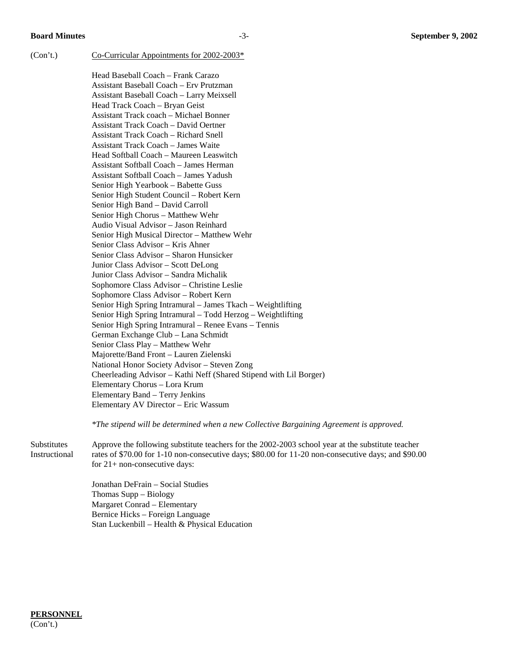(Con't.) Co-Curricular Appointments for  $2002-2003*$ 

Head Baseball Coach – Frank Carazo Assistant Baseball Coach – Erv Prutzman Assistant Baseball Coach – Larry Meixsell Head Track Coach – Bryan Geist Assistant Track coach – Michael Bonner Assistant Track Coach – David Oertner Assistant Track Coach – Richard Snell Assistant Track Coach – James Waite Head Softball Coach – Maureen Leaswitch Assistant Softball Coach – James Herman Assistant Softball Coach – James Yadush Senior High Yearbook – Babette Guss Senior High Student Council – Robert Kern Senior High Band – David Carroll Senior High Chorus – Matthew Wehr Audio Visual Advisor – Jason Reinhard Senior High Musical Director – Matthew Wehr Senior Class Advisor – Kris Ahner Senior Class Advisor – Sharon Hunsicker Junior Class Advisor – Scott DeLong Junior Class Advisor – Sandra Michalik Sophomore Class Advisor – Christine Leslie Sophomore Class Advisor – Robert Kern Senior High Spring Intramural – James Tkach – Weightlifting Senior High Spring Intramural – Todd Herzog – Weightlifting Senior High Spring Intramural – Renee Evans – Tennis German Exchange Club – Lana Schmidt Senior Class Play – Matthew Wehr Majorette/Band Front – Lauren Zielenski National Honor Society Advisor – Steven Zong Cheerleading Advisor – Kathi Neff (Shared Stipend with Lil Borger) Elementary Chorus – Lora Krum Elementary Band – Terry Jenkins Elementary AV Director – Eric Wassum

*\*The stipend will be determined when a new Collective Bargaining Agreement is approved.* 

Substitutes Approve the following substitute teachers for the 2002-2003 school year at the substitute teacher Instructional rates of \$70.00 for 1-10 non-consecutive days; \$80.00 for 11-20 non-consecutive days; and \$90.00 for 21+ non-consecutive days:

> Jonathan DeFrain – Social Studies Thomas Supp – Biology Margaret Conrad – Elementary Bernice Hicks – Foreign Language Stan Luckenbill – Health & Physical Education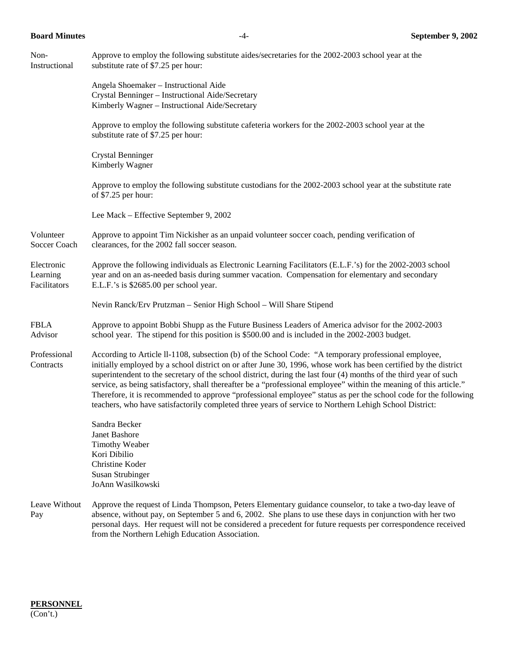| Non-<br>Instructional                  | Approve to employ the following substitute aides/secretaries for the 2002-2003 school year at the<br>substitute rate of \$7.25 per hour:                                                                                                                                                                                                                                                                                                                                                                                                                                                                                                                                                         |
|----------------------------------------|--------------------------------------------------------------------------------------------------------------------------------------------------------------------------------------------------------------------------------------------------------------------------------------------------------------------------------------------------------------------------------------------------------------------------------------------------------------------------------------------------------------------------------------------------------------------------------------------------------------------------------------------------------------------------------------------------|
|                                        | Angela Shoemaker - Instructional Aide<br>Crystal Benninger - Instructional Aide/Secretary<br>Kimberly Wagner - Instructional Aide/Secretary                                                                                                                                                                                                                                                                                                                                                                                                                                                                                                                                                      |
|                                        | Approve to employ the following substitute cafeteria workers for the 2002-2003 school year at the<br>substitute rate of \$7.25 per hour:                                                                                                                                                                                                                                                                                                                                                                                                                                                                                                                                                         |
|                                        | Crystal Benninger<br>Kimberly Wagner                                                                                                                                                                                                                                                                                                                                                                                                                                                                                                                                                                                                                                                             |
|                                        | Approve to employ the following substitute custodians for the 2002-2003 school year at the substitute rate<br>of \$7.25 per hour:                                                                                                                                                                                                                                                                                                                                                                                                                                                                                                                                                                |
|                                        | Lee Mack – Effective September 9, 2002                                                                                                                                                                                                                                                                                                                                                                                                                                                                                                                                                                                                                                                           |
| Volunteer<br>Soccer Coach              | Approve to appoint Tim Nickisher as an unpaid volunteer soccer coach, pending verification of<br>clearances, for the 2002 fall soccer season.                                                                                                                                                                                                                                                                                                                                                                                                                                                                                                                                                    |
| Electronic<br>Learning<br>Facilitators | Approve the following individuals as Electronic Learning Facilitators (E.L.F.'s) for the 2002-2003 school<br>year and on an as-needed basis during summer vacation. Compensation for elementary and secondary<br>E.L.F.'s is \$2685.00 per school year.                                                                                                                                                                                                                                                                                                                                                                                                                                          |
|                                        | Nevin Ranck/Erv Prutzman - Senior High School - Will Share Stipend                                                                                                                                                                                                                                                                                                                                                                                                                                                                                                                                                                                                                               |
| <b>FBLA</b><br>Advisor                 | Approve to appoint Bobbi Shupp as the Future Business Leaders of America advisor for the 2002-2003<br>school year. The stipend for this position is \$500.00 and is included in the 2002-2003 budget.                                                                                                                                                                                                                                                                                                                                                                                                                                                                                            |
| Professional<br>Contracts              | According to Article II-1108, subsection (b) of the School Code: "A temporary professional employee,<br>initially employed by a school district on or after June 30, 1996, whose work has been certified by the district<br>superintendent to the secretary of the school district, during the last four (4) months of the third year of such<br>service, as being satisfactory, shall thereafter be a "professional employee" within the meaning of this article."<br>Therefore, it is recommended to approve "professional employee" status as per the school code for the following<br>teachers, who have satisfactorily completed three years of service to Northern Lehigh School District: |
|                                        | Sandra Becker<br>Janet Bashore<br><b>Timothy Weaber</b><br>Kori Dibilio<br>Christine Koder<br><b>Susan Strubinger</b><br>JoAnn Wasilkowski                                                                                                                                                                                                                                                                                                                                                                                                                                                                                                                                                       |
| Leave Without<br>Pay                   | Approve the request of Linda Thompson, Peters Elementary guidance counselor, to take a two-day leave of<br>absence, without pay, on September 5 and 6, 2002. She plans to use these days in conjunction with her two<br>personal days. Her request will not be considered a precedent for future requests per correspondence received<br>from the Northern Lehigh Education Association.                                                                                                                                                                                                                                                                                                         |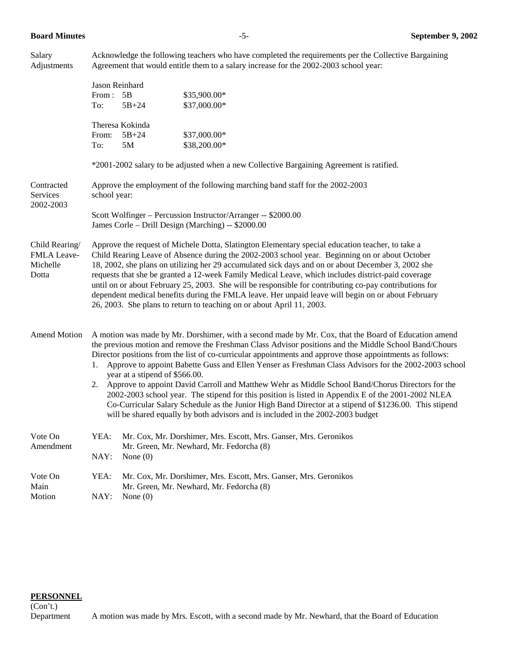Salary Acknowledge the following teachers who have completed the requirements per the Collective Bargaining Adjustments Agreement that would entitle them to a salary increase for the 2002-2003 school year:

|                                                           | From :<br>To:                                                                                                                                                                                                                                                                                                                                                                                                                                                                                                                                                                                                                                                                                                                                                                                                                                                                        | Jason Reinhard<br>5B<br>$5B + 24$  | \$35,900.00*<br>\$37,000.00*                                                                                 |  |
|-----------------------------------------------------------|--------------------------------------------------------------------------------------------------------------------------------------------------------------------------------------------------------------------------------------------------------------------------------------------------------------------------------------------------------------------------------------------------------------------------------------------------------------------------------------------------------------------------------------------------------------------------------------------------------------------------------------------------------------------------------------------------------------------------------------------------------------------------------------------------------------------------------------------------------------------------------------|------------------------------------|--------------------------------------------------------------------------------------------------------------|--|
|                                                           | From:<br>To:                                                                                                                                                                                                                                                                                                                                                                                                                                                                                                                                                                                                                                                                                                                                                                                                                                                                         | Theresa Kokinda<br>$5B + 24$<br>5M | \$37,000.00*<br>\$38,200.00*                                                                                 |  |
|                                                           |                                                                                                                                                                                                                                                                                                                                                                                                                                                                                                                                                                                                                                                                                                                                                                                                                                                                                      |                                    | *2001-2002 salary to be adjusted when a new Collective Bargaining Agreement is ratified.                     |  |
| Contracted<br>Services                                    | Approve the employment of the following marching band staff for the 2002-2003<br>school year:                                                                                                                                                                                                                                                                                                                                                                                                                                                                                                                                                                                                                                                                                                                                                                                        |                                    |                                                                                                              |  |
| 2002-2003                                                 | Scott Wolfinger - Percussion Instructor/Arranger -- \$2000.00<br>James Corle - Drill Design (Marching) -- \$2000.00                                                                                                                                                                                                                                                                                                                                                                                                                                                                                                                                                                                                                                                                                                                                                                  |                                    |                                                                                                              |  |
| Child Rearing/<br><b>FMLA Leave-</b><br>Michelle<br>Dotta | Approve the request of Michele Dotta, Slatington Elementary special education teacher, to take a<br>Child Rearing Leave of Absence during the 2002-2003 school year. Beginning on or about October<br>18, 2002, she plans on utilizing her 29 accumulated sick days and on or about December 3, 2002 she<br>requests that she be granted a 12-week Family Medical Leave, which includes district-paid coverage<br>until on or about February 25, 2003. She will be responsible for contributing co-pay contributions for<br>dependent medical benefits during the FMLA leave. Her unpaid leave will begin on or about February<br>26, 2003. She plans to return to teaching on or about April 11, 2003.                                                                                                                                                                              |                                    |                                                                                                              |  |
| <b>Amend Motion</b>                                       | A motion was made by Mr. Dorshimer, with a second made by Mr. Cox, that the Board of Education amend<br>the previous motion and remove the Freshman Class Advisor positions and the Middle School Band/Chours<br>Director positions from the list of co-curricular appointments and approve those appointments as follows:<br>Approve to appoint Babette Guss and Ellen Yenser as Freshman Class Advisors for the 2002-2003 school<br>1.<br>year at a stipend of \$566.00.<br>2. Approve to appoint David Carroll and Matthew Wehr as Middle School Band/Chorus Directors for the<br>2002-2003 school year. The stipend for this position is listed in Appendix E of the 2001-2002 NLEA<br>Co-Curricular Salary Schedule as the Junior High Band Director at a stipend of \$1236.00. This stipend<br>will be shared equally by both advisors and is included in the 2002-2003 budget |                                    |                                                                                                              |  |
| Vote On<br>Amendment                                      | YEA:<br>NAY:                                                                                                                                                                                                                                                                                                                                                                                                                                                                                                                                                                                                                                                                                                                                                                                                                                                                         | None $(0)$                         | Mr. Cox, Mr. Dorshimer, Mrs. Escott, Mrs. Ganser, Mrs. Geronikos<br>Mr. Green, Mr. Newhard, Mr. Fedorcha (8) |  |
| Vote On<br>Main<br>Motion                                 | YEA:<br>NAY:                                                                                                                                                                                                                                                                                                                                                                                                                                                                                                                                                                                                                                                                                                                                                                                                                                                                         | None $(0)$                         | Mr. Cox, Mr. Dorshimer, Mrs. Escott, Mrs. Ganser, Mrs. Geronikos<br>Mr. Green, Mr. Newhard, Mr. Fedorcha (8) |  |

#### **PERSONNEL**

(Con't.)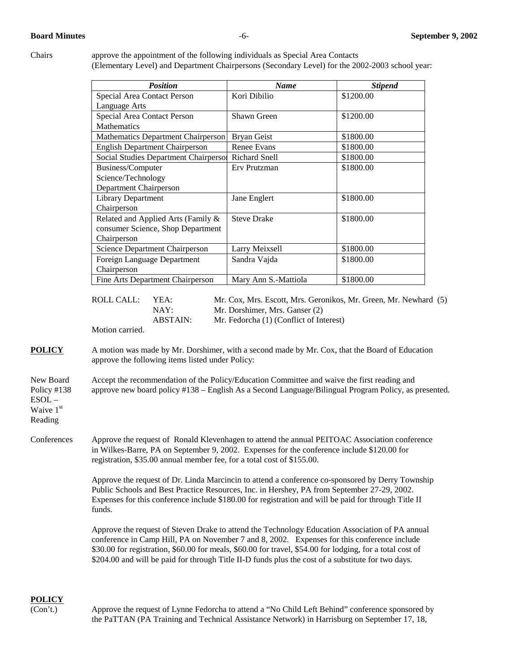Chairs approve the appointment of the following individuals as Special Area Contacts (Elementary Level) and Department Chairpersons (Secondary Level) for the 2002-2003 school year:

| <b>Position</b>                       | <b>Name</b>          | <b>Stipend</b> |
|---------------------------------------|----------------------|----------------|
| Special Area Contact Person           | Kori Dibilio         | \$1200.00      |
| Language Arts                         |                      |                |
| Special Area Contact Person           | Shawn Green          | \$1200.00      |
| <b>Mathematics</b>                    |                      |                |
| Mathematics Department Chairperson    | <b>Bryan Geist</b>   | \$1800.00      |
| <b>English Department Chairperson</b> | Renee Evans          | \$1800.00      |
| Social Studies Department Chairperson | <b>Richard Snell</b> | \$1800.00      |
| Business/Computer                     | Erv Prutzman         | \$1800.00      |
| Science/Technology                    |                      |                |
| Department Chairperson                |                      |                |
| <b>Library Department</b>             | Jane Englert         | \$1800.00      |
| Chairperson                           |                      |                |
| Related and Applied Arts (Family &    | <b>Steve Drake</b>   | \$1800.00      |
| consumer Science, Shop Department     |                      |                |
| Chairperson                           |                      |                |
| Science Department Chairperson        | Larry Meixsell       | \$1800.00      |
| Foreign Language Department           | Sandra Vajda         | \$1800.00      |
| Chairperson                           |                      |                |
| Fine Arts Department Chairperson      | Mary Ann S.-Mattiola | \$1800.00      |

 ROLL CALL: YEA: Mr. Cox, Mrs. Escott, Mrs. Geronikos, Mr. Green, Mr. Newhard (5) NAY: Mr. Dorshimer, Mrs. Ganser (2) ABSTAIN: Mr. Fedorcha (1) (Conflict of Interest)

Motion carried.

**POLICY** A motion was made by Mr. Dorshimer, with a second made by Mr. Cox, that the Board of Education approve the following items listed under Policy:

New Board Accept the recommendation of the Policy/Education Committee and waive the first reading and Policy #138 approve new board policy #138 – English As a Second Language/Bilingual Program Policy, as presented. ESOL –

Waive 1<sup>st</sup> Reading

Conferences Approve the request of Ronald Klevenhagen to attend the annual PEITOAC Association conference in Wilkes-Barre, PA on September 9, 2002. Expenses for the conference include \$120.00 for registration, \$35.00 annual member fee, for a total cost of \$155.00.

> Approve the request of Dr. Linda Marcincin to attend a conference co-sponsored by Derry Township Public Schools and Best Practice Resources, Inc. in Hershey, PA from September 27-29, 2002. Expenses for this conference include \$180.00 for registration and will be paid for through Title II funds.

Approve the request of Steven Drake to attend the Technology Education Association of PA annual conference in Camp Hill, PA on November 7 and 8, 2002. Expenses for this conference include \$30.00 for registration, \$60.00 for meals, \$60.00 for travel, \$54.00 for lodging, for a total cost of \$204.00 and will be paid for through Title II-D funds plus the cost of a substitute for two days.

# **POLICY**

(Con't.) Approve the request of Lynne Fedorcha to attend a "No Child Left Behind" conference sponsored by the PaTTAN (PA Training and Technical Assistance Network) in Harrisburg on September 17, 18,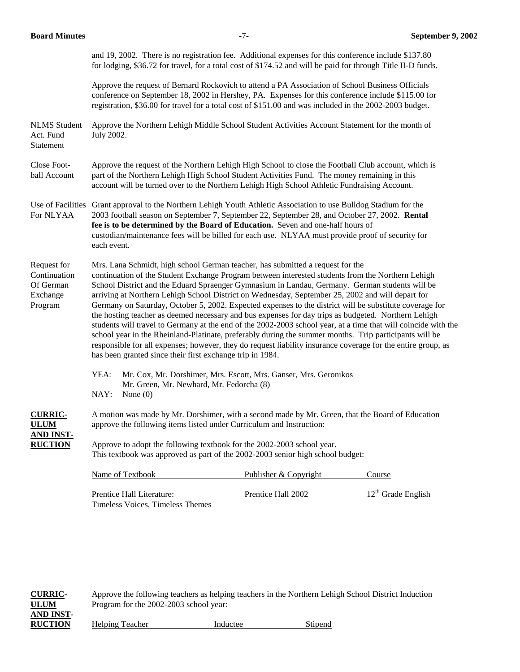and 19, 2002. There is no registration fee. Additional expenses for this conference include \$137.80 for lodging, \$36.72 for travel, for a total cost of \$174.52 and will be paid for through Title II-D funds.

Approve the request of Bernard Rockovich to attend a PA Association of School Business Officials conference on September 18, 2002 in Hershey, PA. Expenses for this conference include \$115.00 for registration, \$36.00 for travel for a total cost of \$151.00 and was included in the 2002-2003 budget.

NLMS Student Approve the Northern Lehigh Middle School Student Activities Account Statement for the month of Act. Fund July 2002. Statement

Close Foot- Approve the request of the Northern Lehigh High School to close the Football Club account, which is ball Account part of the Northern Lehigh High School Student Activities Fund. The money remaining in this account will be turned over to the Northern Lehigh High School Athletic Fundraising Account.

Use of Facilities Grant approval to the Northern Lehigh Youth Athletic Association to use Bulldog Stadium for the For NLYAA 2003 football season on September 7, September 22, September 28, and October 27, 2002. **Rental fee is to be determined by the Board of Education.** Seven and one-half hours of custodian/maintenance fees will be billed for each use. NLYAA must provide proof of security for each event.

Request for Mrs. Lana Schmidt, high school German teacher, has submitted a request for the Continuation continuation of the Student Exchange Program between interested students from the Northern Lehigh Of German School District and the Eduard Spraenger Gymnasium in Landau, Germany. German students will be Exchange arriving at Northern Lehigh School District on Wednesday, September 25, 2002 and will depart for Program Germany on Saturday, October 5, 2002. Expected expenses to the district will be substitute coverage for the hosting teacher as deemed necessary and bus expenses for day trips as budgeted. Northern Lehigh students will travel to Germany at the end of the 2002-2003 school year, at a time that will coincide with the school year in the Rheinland-Platinate, preferably during the summer months. Trip participants will be responsible for all expenses; however, they do request liability insurance coverage for the entire group, as has been granted since their first exchange trip in 1984.

> YEA: Mr. Cox, Mr. Dorshimer, Mrs. Escott, Mrs. Ganser, Mrs. Geronikos Mr. Green, Mr. Newhard, Mr. Fedorcha (8) NAY: None (0)

**CURRIC-** A motion was made by Mr. Dorshimer, with a second made by Mr. Green, that the Board of Education **ILUM** approve the following items listed under Curriculum and Instruction: **AND INST-**

**RUCTION** Approve to adopt the following textbook for the 2002-2003 school year. This textbook was approved as part of the 2002-2003 senior high school budget:

| Name of Textbook          | Publisher & Copyright | Course                  |
|---------------------------|-----------------------|-------------------------|
| Prentice Hall Literature: | Prentice Hall 2002    | $12^{th}$ Grade English |

Timeless Voices, Timeless Themes

**CURRIC-** Approve the following teachers as helping teachers in the Northern Lehigh School District Induction **ULUM** Program for the 2002-2003 school year: **AND INST-RUCTION** Helping Teacher **Inducted Stipend** Stipend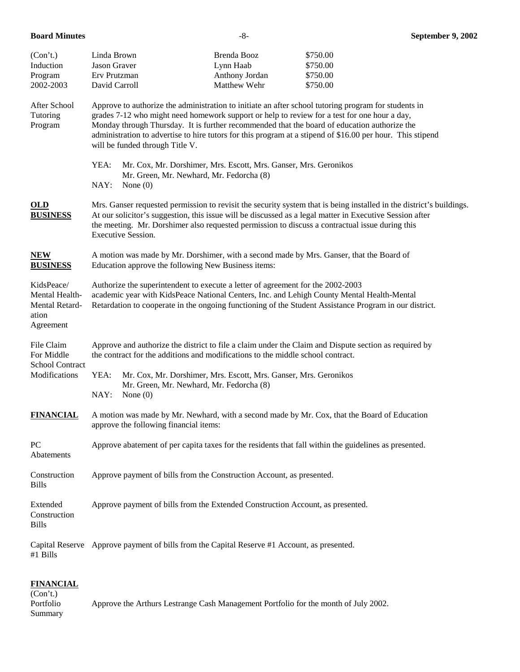| (Con't.)<br>Induction<br>Program<br>2002-2003                        | Linda Brown<br>Jason Graver<br>Erv Prutzman<br>David Carroll                                                                                                                                                                                                                                                                                                                                                                                          |                                                                                                                                                                                          | Brenda Booz<br>Lynn Haab<br>Anthony Jordan<br>Matthew Wehr | \$750.00<br>\$750.00<br>\$750.00<br>\$750.00 |  |
|----------------------------------------------------------------------|-------------------------------------------------------------------------------------------------------------------------------------------------------------------------------------------------------------------------------------------------------------------------------------------------------------------------------------------------------------------------------------------------------------------------------------------------------|------------------------------------------------------------------------------------------------------------------------------------------------------------------------------------------|------------------------------------------------------------|----------------------------------------------|--|
| After School<br>Tutoring<br>Program                                  | Approve to authorize the administration to initiate an after school tutoring program for students in<br>grades 7-12 who might need homework support or help to review for a test for one hour a day,<br>Monday through Thursday. It is further recommended that the board of education authorize the<br>administration to advertise to hire tutors for this program at a stipend of \$16.00 per hour. This stipend<br>will be funded through Title V. |                                                                                                                                                                                          |                                                            |                                              |  |
|                                                                      | YEA:<br>NAY:                                                                                                                                                                                                                                                                                                                                                                                                                                          | Mr. Cox, Mr. Dorshimer, Mrs. Escott, Mrs. Ganser, Mrs. Geronikos<br>Mr. Green, Mr. Newhard, Mr. Fedorcha (8)<br>None $(0)$                                                               |                                                            |                                              |  |
| $OLD$<br><b>BUSINESS</b>                                             | Mrs. Ganser requested permission to revisit the security system that is being installed in the district's buildings.<br>At our solicitor's suggestion, this issue will be discussed as a legal matter in Executive Session after<br>the meeting. Mr. Dorshimer also requested permission to discuss a contractual issue during this<br>Executive Session.                                                                                             |                                                                                                                                                                                          |                                                            |                                              |  |
| <b>NEW</b><br><b>BUSINESS</b>                                        | A motion was made by Mr. Dorshimer, with a second made by Mrs. Ganser, that the Board of<br>Education approve the following New Business items:                                                                                                                                                                                                                                                                                                       |                                                                                                                                                                                          |                                                            |                                              |  |
| KidsPeace/<br>Mental Health-<br>Mental Retard-<br>ation<br>Agreement | Authorize the superintendent to execute a letter of agreement for the 2002-2003<br>academic year with KidsPeace National Centers, Inc. and Lehigh County Mental Health-Mental<br>Retardation to cooperate in the ongoing functioning of the Student Assistance Program in our district.                                                                                                                                                               |                                                                                                                                                                                          |                                                            |                                              |  |
| File Claim<br>For Middle                                             |                                                                                                                                                                                                                                                                                                                                                                                                                                                       | Approve and authorize the district to file a claim under the Claim and Dispute section as required by<br>the contract for the additions and modifications to the middle school contract. |                                                            |                                              |  |
| <b>School Contract</b><br>Modifications                              | YEA:<br>NAY:                                                                                                                                                                                                                                                                                                                                                                                                                                          | Mr. Cox, Mr. Dorshimer, Mrs. Escott, Mrs. Ganser, Mrs. Geronikos<br>Mr. Green, Mr. Newhard, Mr. Fedorcha (8)<br>None $(0)$                                                               |                                                            |                                              |  |
| <b>FINANCIAL</b>                                                     | A motion was made by Mr. Newhard, with a second made by Mr. Cox, that the Board of Education<br>approve the following financial items:                                                                                                                                                                                                                                                                                                                |                                                                                                                                                                                          |                                                            |                                              |  |
| PC<br>Abatements                                                     | Approve abatement of per capita taxes for the residents that fall within the guidelines as presented.                                                                                                                                                                                                                                                                                                                                                 |                                                                                                                                                                                          |                                                            |                                              |  |
| Construction<br><b>Bills</b>                                         | Approve payment of bills from the Construction Account, as presented.                                                                                                                                                                                                                                                                                                                                                                                 |                                                                                                                                                                                          |                                                            |                                              |  |
| Extended<br>Construction<br><b>Bills</b>                             | Approve payment of bills from the Extended Construction Account, as presented.                                                                                                                                                                                                                                                                                                                                                                        |                                                                                                                                                                                          |                                                            |                                              |  |
| #1 Bills                                                             | Capital Reserve Approve payment of bills from the Capital Reserve #1 Account, as presented.                                                                                                                                                                                                                                                                                                                                                           |                                                                                                                                                                                          |                                                            |                                              |  |

### **FINANCIAL**

(Con't.) Portfolio Approve the Arthurs Lestrange Cash Management Portfolio for the month of July 2002. Summary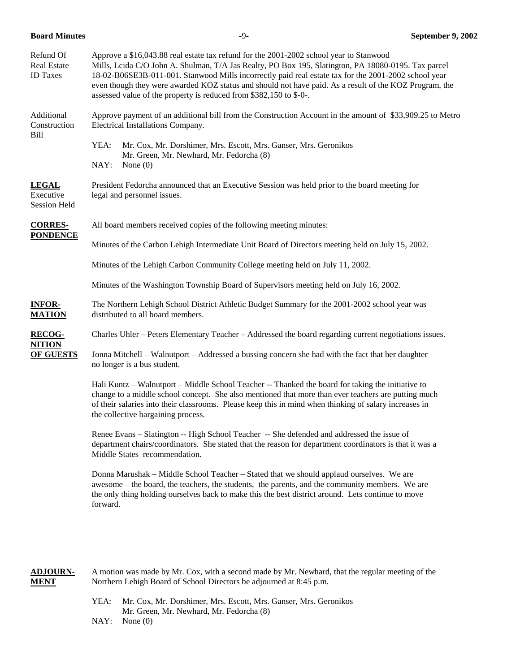|  | <b>Board Minutes</b> |
|--|----------------------|
|--|----------------------|

| Refund Of<br><b>Real Estate</b><br><b>ID</b> Taxes | Approve a \$16,043.88 real estate tax refund for the 2001-2002 school year to Stanwood<br>Mills, Lcida C/O John A. Shulman, T/A Jas Realty, PO Box 195, Slatington, PA 18080-0195. Tax parcel<br>18-02-B06SE3B-011-001. Stanwood Mills incorrectly paid real estate tax for the 2001-2002 school year<br>even though they were awarded KOZ status and should not have paid. As a result of the KOZ Program, the<br>assessed value of the property is reduced from \$382,150 to \$-0-. |  |  |  |  |
|----------------------------------------------------|---------------------------------------------------------------------------------------------------------------------------------------------------------------------------------------------------------------------------------------------------------------------------------------------------------------------------------------------------------------------------------------------------------------------------------------------------------------------------------------|--|--|--|--|
| Additional<br>Construction<br>Bill                 | Approve payment of an additional bill from the Construction Account in the amount of \$33,909.25 to Metro<br>Electrical Installations Company.                                                                                                                                                                                                                                                                                                                                        |  |  |  |  |
|                                                    | YEA:<br>Mr. Cox, Mr. Dorshimer, Mrs. Escott, Mrs. Ganser, Mrs. Geronikos<br>Mr. Green, Mr. Newhard, Mr. Fedorcha (8)<br>NAY:<br>None $(0)$                                                                                                                                                                                                                                                                                                                                            |  |  |  |  |
| <b>LEGAL</b><br>Executive<br><b>Session Held</b>   | President Fedorcha announced that an Executive Session was held prior to the board meeting for<br>legal and personnel issues.                                                                                                                                                                                                                                                                                                                                                         |  |  |  |  |
| <b>CORRES-</b>                                     | All board members received copies of the following meeting minutes:                                                                                                                                                                                                                                                                                                                                                                                                                   |  |  |  |  |
| <b>PONDENCE</b>                                    | Minutes of the Carbon Lehigh Intermediate Unit Board of Directors meeting held on July 15, 2002.                                                                                                                                                                                                                                                                                                                                                                                      |  |  |  |  |
|                                                    | Minutes of the Lehigh Carbon Community College meeting held on July 11, 2002.                                                                                                                                                                                                                                                                                                                                                                                                         |  |  |  |  |
|                                                    | Minutes of the Washington Township Board of Supervisors meeting held on July 16, 2002.                                                                                                                                                                                                                                                                                                                                                                                                |  |  |  |  |
| <b>INFOR-</b><br><b>MATION</b>                     | The Northern Lehigh School District Athletic Budget Summary for the 2001-2002 school year was<br>distributed to all board members.                                                                                                                                                                                                                                                                                                                                                    |  |  |  |  |
| <b>RECOG-</b>                                      | Charles Uhler – Peters Elementary Teacher – Addressed the board regarding current negotiations issues.                                                                                                                                                                                                                                                                                                                                                                                |  |  |  |  |
| <b>NITION</b><br><b>OF GUESTS</b>                  | Jonna Mitchell – Walnutport – Addressed a bussing concern she had with the fact that her daughter<br>no longer is a bus student.                                                                                                                                                                                                                                                                                                                                                      |  |  |  |  |
|                                                    | Hali Kuntz – Walnutport – Middle School Teacher -- Thanked the board for taking the initiative to<br>change to a middle school concept. She also mentioned that more than ever teachers are putting much<br>of their salaries into their classrooms. Please keep this in mind when thinking of salary increases in<br>the collective bargaining process.                                                                                                                              |  |  |  |  |
|                                                    | Renee Evans - Slatington -- High School Teacher -- She defended and addressed the issue of<br>department chairs/coordinators. She stated that the reason for department coordinators is that it was a<br>Middle States recommendation.                                                                                                                                                                                                                                                |  |  |  |  |
|                                                    | Donna Marushak – Middle School Teacher – Stated that we should applaud ourselves. We are<br>awesome – the board, the teachers, the students, the parents, and the community members. We are<br>the only thing holding ourselves back to make this the best district around. Lets continue to move<br>forward.                                                                                                                                                                         |  |  |  |  |
|                                                    |                                                                                                                                                                                                                                                                                                                                                                                                                                                                                       |  |  |  |  |

**ADJOURN-** A motion was made by Mr. Cox, with a second made by Mr. Newhard, that the regular meeting of the **MENT** Northern Lehigh Board of School Directors be adjourned at 8:45 p.m.

- YEA: Mr. Cox, Mr. Dorshimer, Mrs. Escott, Mrs. Ganser, Mrs. Geronikos Mr. Green, Mr. Newhard, Mr. Fedorcha (8)
- NAY: None (0)